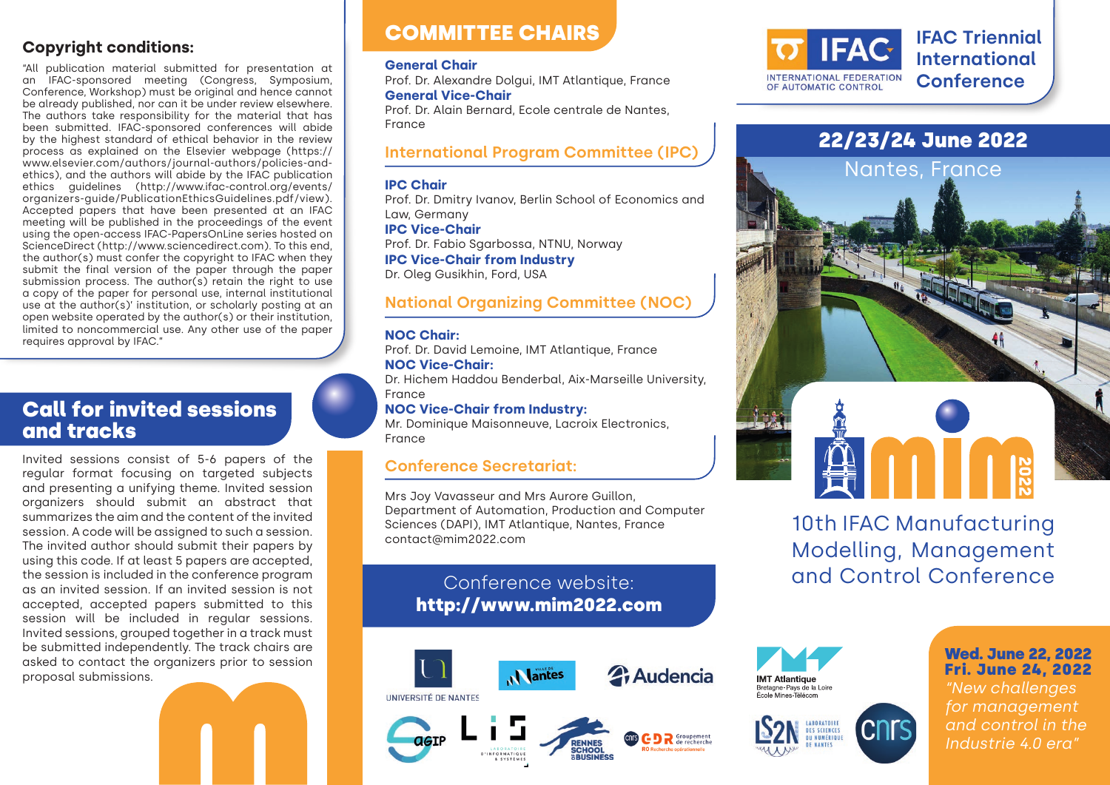### **Copyright conditions:**

"All publication material submitted for presentation at an IFAC-sponsored meeting (Congress, Symposium, Conference, Workshop) must be original and hence cannot be already published, nor can it be under review elsewhere. The authors take responsibility for the material that has been submitted. IFAC-sponsored conferences will abide by the highest standard of ethical behavior in the review process as explained on the Elsevier webpage (https:// www.elsevier.com/authors/journal-authors/policies-andethics), and the authors will abide by the IFAC publication ethics quidelines (http://www.ifac-control.org/events/ organizers-guide/PublicationEthicsGuidelines.pdf/view). Accepted papers that have been presented at an IFAC meeting will be published in the proceedings of the event using the open-access IFAC-PapersOnLine series hosted on ScienceDirect (http://www.sciencedirect.com). To this end, the author(s) must confer the copyright to IFAC when they submit the final version of the paper through the paper submission process. The author(s) retain the right to use a copy of the paper for personal use, internal institutional use at the author(s)' institution, or scholarly posting at an open website operated by the author(s) or their institution, limited to noncommercial use. Any other use of the paper requires approval by IFAC."

## Call for invited sessions and tracks

Invited sessions consist of 5-6 papers of the regular format focusing on targeted subjects and presenting a unifying theme. Invited session organizers should submit an abstract that summarizes the aim and the content of the invited session. A code will be assigned to such a session. The invited author should submit their papers by using this code. If at least 5 papers are accepted, the session is included in the conference program as an invited session. If an invited session is not accepted, accepted papers submitted to this session will be included in regular sessions. Invited sessions, grouped together in a track must be submitted independently. The track chairs are asked to contact the organizers prior to session proposal submissions.

# COMMITTEE CHAIRS

#### **General Chair**

Prof. Dr. Alexandre Dolgui, IMT Atlantique, France **General Vice-Chair**

Prof. Dr. Alain Bernard, Ecole centrale de Nantes, France

### **International Program Committee (IPC)**

#### **IPC Chair**

Prof. Dr. Dmitry Ivanov, Berlin School of Economics and Law, Germany

**IPC Vice-Chair** Prof. Dr. Fabio Sgarbossa, NTNU, Norway **IPC Vice-Chair from Industry** Dr. Oleg Gusikhin, Ford, USA

### **National Organizing Committee (NOC)**

#### **NOC Chair:**

Prof. Dr. David Lemoine, IMT Atlantique, France **NOC Vice-Chair:** Dr. Hichem Haddou Benderbal, Aix-Marseille University,

France

#### **NOC Vice-Chair from Industry:**

Mr. Dominique Maisonneuve, Lacroix Electronics, France

### **Conference Secretariat:**

Mrs Joy Vavasseur and Mrs Aurore Guillon, Department of Automation, Production and Computer Sciences (DAPI), IMT Atlantique, Nantes, France contact@mim2022.com

## Conference website: http://www.mim2022.com





# 22/23/24 June 2022



# 10th IFAC Manufacturing Modelling, Management and Control Conference





### Wed. June 22, 2022 Fri. June 24, 2022

*"New challenges for management and control in the Industrie 4.0 era"*